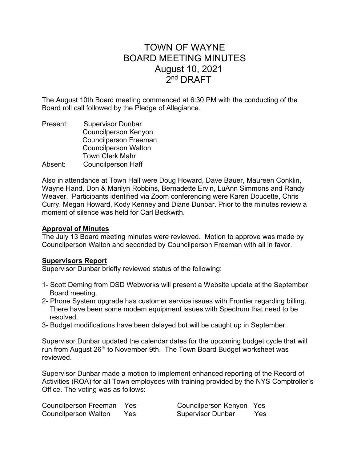# TOWN OF WAYNE BOARD MEETING MINUTES August 10, 2021  $2^{\mathsf{nd}}$  DRAFT

The August 10th Board meeting commenced at 6:30 PM with the conducting of the Board roll call followed by the Pledge of Allegiance.

Present: Supervisor Dunbar Councilperson Kenyon Councilperson Freeman Councilperson Walton Town Clerk Mahr Absent: Councilperson Haff

Also in attendance at Town Hall were Doug Howard, Dave Bauer, Maureen Conklin, Wayne Hand, Don & Marilyn Robbins, Bernadette Ervin, LuAnn Simmons and Randy Weaver. Participants identified via Zoom conferencing were Karen Doucette, Chris Curry, Megan Howard, Kody Kenney and Diane Dunbar. Prior to the minutes review a moment of silence was held for Carl Beckwith.

## Approval of Minutes

The July 13 Board meeting minutes were reviewed. Motion to approve was made by Councilperson Walton and seconded by Councilperson Freeman with all in favor.

## Supervisors Report

Supervisor Dunbar briefly reviewed status of the following:

- 1- Scott Deming from DSD Webworks will present a Website update at the September Board meeting.
- 2- Phone System upgrade has customer service issues with Frontier regarding billing. There have been some modem equipment issues with Spectrum that need to be resolved.
- 3- Budget modifications have been delayed but will be caught up in September.

Supervisor Dunbar updated the calendar dates for the upcoming budget cycle that will run from August 26<sup>th</sup> to November 9th. The Town Board Budget worksheet was reviewed.

Supervisor Dunbar made a motion to implement enhanced reporting of the Record of Activities (ROA) for all Town employees with training provided by the NYS Comptroller's Office. The voting was as follows:

| <b>Councilperson Freeman</b> | Yes |
|------------------------------|-----|
| <b>Councilperson Walton</b>  | Yes |

Councilperson Kenyon Yes Supervisor Dunbar Yes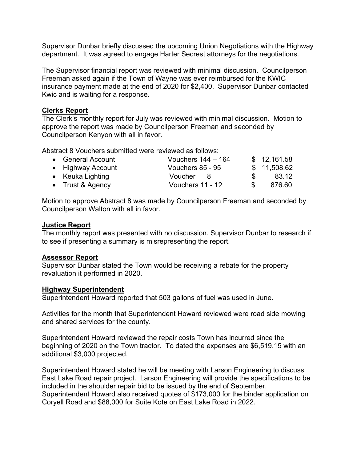Supervisor Dunbar briefly discussed the upcoming Union Negotiations with the Highway department. It was agreed to engage Harter Secrest attorneys for the negotiations.

The Supervisor financial report was reviewed with minimal discussion. Councilperson Freeman asked again if the Town of Wayne was ever reimbursed for the KWIC insurance payment made at the end of 2020 for \$2,400. Supervisor Dunbar contacted Kwic and is waiting for a response.

## Clerks Report

The Clerk's monthly report for July was reviewed with minimal discussion. Motion to approve the report was made by Councilperson Freeman and seconded by Councilperson Kenyon with all in favor.

Abstract 8 Vouchers submitted were reviewed as follows:

| • General Account | Vouchers $144 - 164$ |               | \$12,161.58 |
|-------------------|----------------------|---------------|-------------|
| • Highway Account | Vouchers 85 - 95     |               | \$11,508.62 |
| • Keuka Lighting  | Voucher 8            | $\mathcal{F}$ | 83.12       |
| • Trust & Agency  | Vouchers 11 - 12     | \$.           | 876.60      |

Motion to approve Abstract 8 was made by Councilperson Freeman and seconded by Councilperson Walton with all in favor.

## Justice Report

The monthly report was presented with no discussion. Supervisor Dunbar to research if to see if presenting a summary is misrepresenting the report.

# Assessor Report

Supervisor Dunbar stated the Town would be receiving a rebate for the property revaluation it performed in 2020.

## Highway Superintendent

Superintendent Howard reported that 503 gallons of fuel was used in June.

Activities for the month that Superintendent Howard reviewed were road side mowing and shared services for the county.

Superintendent Howard reviewed the repair costs Town has incurred since the beginning of 2020 on the Town tractor. To dated the expenses are \$6,519.15 with an additional \$3,000 projected.

Superintendent Howard stated he will be meeting with Larson Engineering to discuss East Lake Road repair project. Larson Engineering will provide the specifications to be included in the shoulder repair bid to be issued by the end of September. Superintendent Howard also received quotes of \$173,000 for the binder application on Coryell Road and \$88,000 for Suite Kote on East Lake Road in 2022.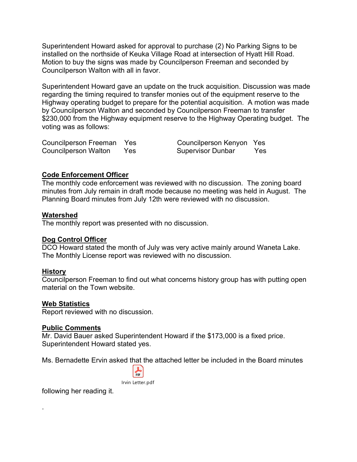Superintendent Howard asked for approval to purchase (2) No Parking Signs to be installed on the northside of Keuka Village Road at intersection of Hyatt Hill Road. Motion to buy the signs was made by Councilperson Freeman and seconded by Councilperson Walton with all in favor.

Superintendent Howard gave an update on the truck acquisition. Discussion was made regarding the timing required to transfer monies out of the equipment reserve to the Highway operating budget to prepare for the potential acquisition. A motion was made by Councilperson Walton and seconded by Councilperson Freeman to transfer \$230,000 from the Highway equipment reserve to the Highway Operating budget. The voting was as follows:

| Councilperson Freeman Yes |      | Councilperson Kenyon Yes |            |
|---------------------------|------|--------------------------|------------|
| Councilperson Walton      | Yes. | <b>Supervisor Dunbar</b> | <b>Yes</b> |

## Code Enforcement Officer

The monthly code enforcement was reviewed with no discussion. The zoning board minutes from July remain in draft mode because no meeting was held in August. The Planning Board minutes from July 12th were reviewed with no discussion.

## Watershed

The monthly report was presented with no discussion.

## Dog Control Officer

DCO Howard stated the month of July was very active mainly around Waneta Lake. The Monthly License report was reviewed with no discussion.

## History

.

Councilperson Freeman to find out what concerns history group has with putting open material on the Town website.

## Web Statistics

Report reviewed with no discussion.

## Public Comments

Mr. David Bauer asked Superintendent Howard if the \$173,000 is a fixed price. Superintendent Howard stated yes.

Ms. Bernadette Ervin asked that the attached letter be included in the Board minutes



following her reading it.